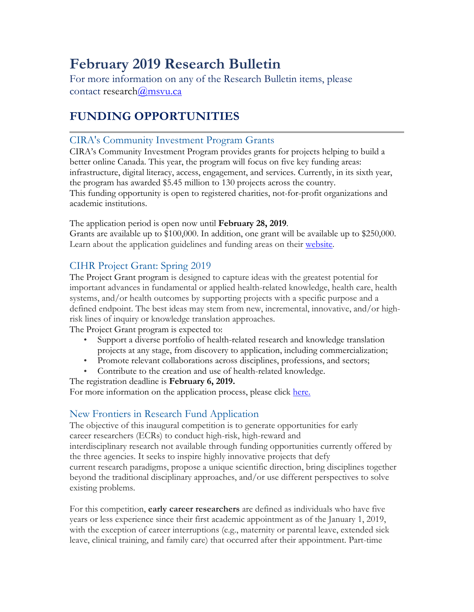# **February 2019 Research Bulletin**

For more information on any of the Research Bulletin items, please contact research@msvu.ca

## **FUNDING OPPORTUNITIES**

### CIRA's Community Investment Program Grants

CIRA's Community Investment Program provides grants for projects helping to build a better online Canada. This year, the program will focus on five key funding areas: infrastructure, digital literacy, access, engagement, and services. Currently, in its sixth year, the program has awarded \$5.45 million to 130 projects across the country. This funding opportunity is open to registered charities, not-for-profit organizations and academic institutions.

The application period is open now until **February 28, 2019**.

Grants are available up to \$100,000. In addition, one grant will be available up to \$250,000. Learn about the application guidelines and funding areas on their website.

### CIHR Project Grant: Spring 2019

The Project Grant program is designed to capture ideas with the greatest potential for important advances in fundamental or applied health-related knowledge, health care, health systems, and/or health outcomes by supporting projects with a specific purpose and a defined endpoint. The best ideas may stem from new, incremental, innovative, and/or highrisk lines of inquiry or knowledge translation approaches.

The Project Grant program is expected to:

- Support a diverse portfolio of health-related research and knowledge translation projects at any stage, from discovery to application, including commercialization;
- Promote relevant collaborations across disciplines, professions, and sectors;
- Contribute to the creation and use of health-related knowledge.

#### The registration deadline is **February 6, 2019.**

For more information on the application process, please click here.

### New Frontiers in Research Fund Application

The objective of this inaugural competition is to generate opportunities for early career researchers (ECRs) to conduct high-risk, high-reward and interdisciplinary research not available through funding opportunities currently offered by the three agencies. It seeks to inspire highly innovative projects that defy current research paradigms, propose a unique scientific direction, bring disciplines together beyond the traditional disciplinary approaches, and/or use different perspectives to solve existing problems.

For this competition, **early career researchers** are defined as individuals who have five years or less experience since their first academic appointment as of the January 1, 2019, with the exception of career interruptions (e.g., maternity or parental leave, extended sick leave, clinical training, and family care) that occurred after their appointment. Part-time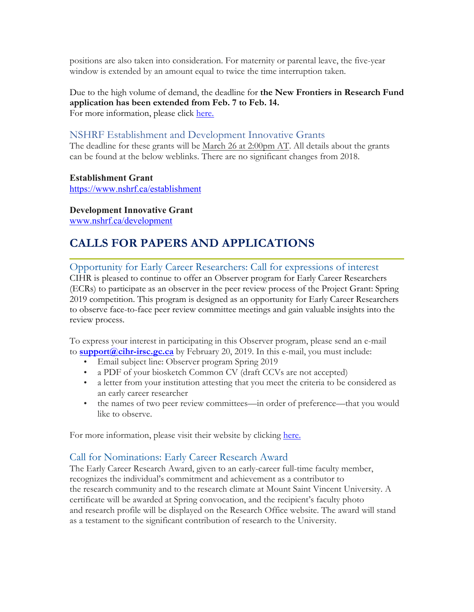positions are also taken into consideration. For maternity or parental leave, the five-year window is extended by an amount equal to twice the time interruption taken.

Due to the high volume of demand, the deadline for **the New Frontiers in Research Fund application has been extended from Feb. 7 to Feb. 14.** For more information, please click here.

### NSHRF Establishment and Development Innovative Grants

The deadline for these grants will be March 26 at 2:00pm AT. All details about the grants can be found at the below weblinks. There are no significant changes from 2018.

**Establishment Grant** https://www.nshrf.ca/establishment

**Development Innovative Grant** www.nshrf.ca/development

## **CALLS FOR PAPERS AND APPLICATIONS**

Opportunity for Early Career Researchers: Call for expressions of interest CIHR is pleased to continue to offer an Observer program for Early Career Researchers (ECRs) to participate as an observer in the peer review process of the Project Grant: Spring 2019 competition. This program is designed as an opportunity for Early Career Researchers to observe face-to-face peer review committee meetings and gain valuable insights into the review process.

To express your interest in participating in this Observer program, please send an e-mail to **support@cihr-irsc.gc.ca** by February 20, 2019. In this e-mail, you must include:

- Email subject line: Observer program Spring 2019
- a PDF of your biosketch Common CV (draft CCVs are not accepted)
- a letter from your institution attesting that you meet the criteria to be considered as an early career researcher
- the names of two peer review committees—in order of preference—that you would like to observe.

For more information, please visit their website by clicking here.

#### Call for Nominations: Early Career Research Award

The Early Career Research Award, given to an early-career full-time faculty member, recognizes the individual's commitment and achievement as a contributor to the research community and to the research climate at Mount Saint Vincent University. A certificate will be awarded at Spring convocation, and the recipient's faculty photo and research profile will be displayed on the Research Office website. The award will stand as a testament to the significant contribution of research to the University.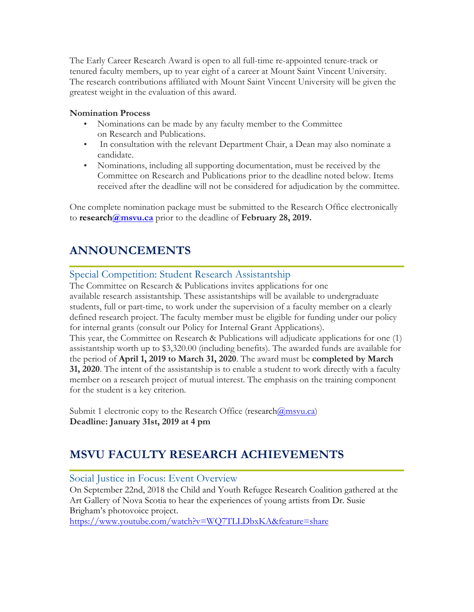The Early Career Research Award is open to all full-time re-appointed tenure-track or tenured faculty members, up to year eight of a career at Mount Saint Vincent University. The research contributions affiliated with Mount Saint Vincent University will be given the greatest weight in the evaluation of this award.

#### **Nomination Process**

- Nominations can be made by any faculty member to the Committee on Research and Publications.
- In consultation with the relevant Department Chair, a Dean may also nominate a candidate.
- Nominations, including all supporting documentation, must be received by the Committee on Research and Publications prior to the deadline noted below. Items received after the deadline will not be considered for adjudication by the committee.

One complete nomination package must be submitted to the Research Office electronically to **research@msvu.ca** prior to the deadline of **February 28, 2019.**

## **ANNOUNCEMENTS**

#### Special Competition: Student Research Assistantship

The Committee on Research & Publications invites applications for one available research assistantship. These assistantships will be available to undergraduate students, full or part-time, to work under the supervision of a faculty member on a clearly defined research project. The faculty member must be eligible for funding under our policy for internal grants (consult our Policy for Internal Grant Applications).

This year, the Committee on Research & Publications will adjudicate applications for one (1) assistantship worth up to \$3,320.00 (including benefits). The awarded funds are available for the period of **April 1, 2019 to March 31, 2020**. The award must be **completed by March 31, 2020**. The intent of the assistantship is to enable a student to work directly with a faculty member on a research project of mutual interest. The emphasis on the training component for the student is a key criterion.

Submit 1 electronic copy to the Research Office (research $(\partial \text{msvu.ca})$ ) **Deadline: January 31st, 2019 at 4 pm**

## **MSVU FACULTY RESEARCH ACHIEVEMENTS**

#### Social Justice in Focus: Event Overview

On September 22nd, 2018 the Child and Youth Refugee Research Coalition gathered at the Art Gallery of Nova Scotia to hear the experiences of young artists from Dr. Susie Brigham's photovoice project.

https://www.youtube.com/watch?v=WQ7TLLDbxKA&feature=share